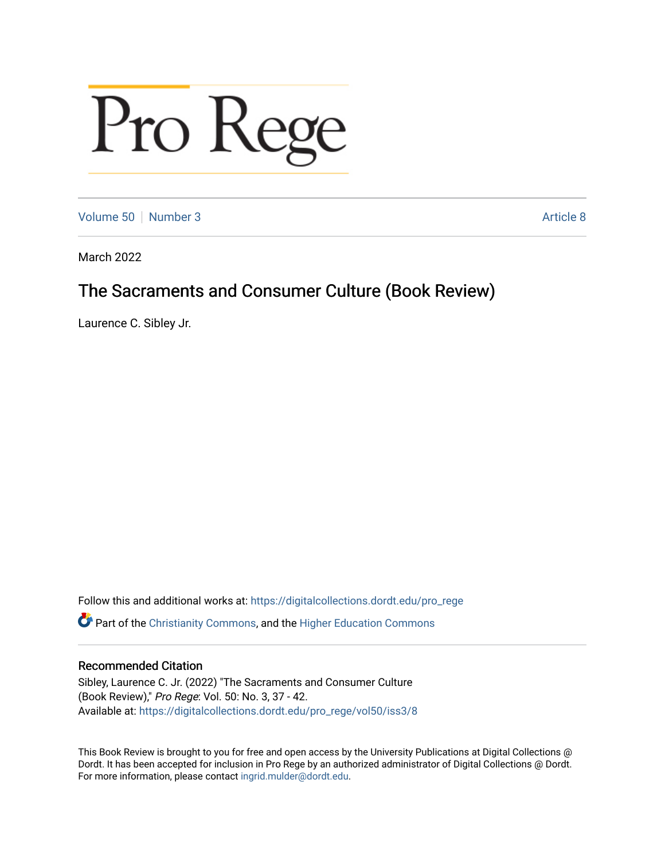# Pro Rege

[Volume 50](https://digitalcollections.dordt.edu/pro_rege/vol50) [Number 3](https://digitalcollections.dordt.edu/pro_rege/vol50/iss3) Article 8

March 2022

# The Sacraments and Consumer Culture (Book Review)

Laurence C. Sibley Jr.

Follow this and additional works at: [https://digitalcollections.dordt.edu/pro\\_rege](https://digitalcollections.dordt.edu/pro_rege?utm_source=digitalcollections.dordt.edu%2Fpro_rege%2Fvol50%2Fiss3%2F8&utm_medium=PDF&utm_campaign=PDFCoverPages) 

Part of the [Christianity Commons,](http://network.bepress.com/hgg/discipline/1181?utm_source=digitalcollections.dordt.edu%2Fpro_rege%2Fvol50%2Fiss3%2F8&utm_medium=PDF&utm_campaign=PDFCoverPages) and the [Higher Education Commons](http://network.bepress.com/hgg/discipline/1245?utm_source=digitalcollections.dordt.edu%2Fpro_rege%2Fvol50%2Fiss3%2F8&utm_medium=PDF&utm_campaign=PDFCoverPages) 

# Recommended Citation

Sibley, Laurence C. Jr. (2022) "The Sacraments and Consumer Culture (Book Review)," Pro Rege: Vol. 50: No. 3, 37 - 42. Available at: [https://digitalcollections.dordt.edu/pro\\_rege/vol50/iss3/8](https://digitalcollections.dordt.edu/pro_rege/vol50/iss3/8?utm_source=digitalcollections.dordt.edu%2Fpro_rege%2Fvol50%2Fiss3%2F8&utm_medium=PDF&utm_campaign=PDFCoverPages) 

This Book Review is brought to you for free and open access by the University Publications at Digital Collections @ Dordt. It has been accepted for inclusion in Pro Rege by an authorized administrator of Digital Collections @ Dordt. For more information, please contact [ingrid.mulder@dordt.edu](mailto:ingrid.mulder@dordt.edu).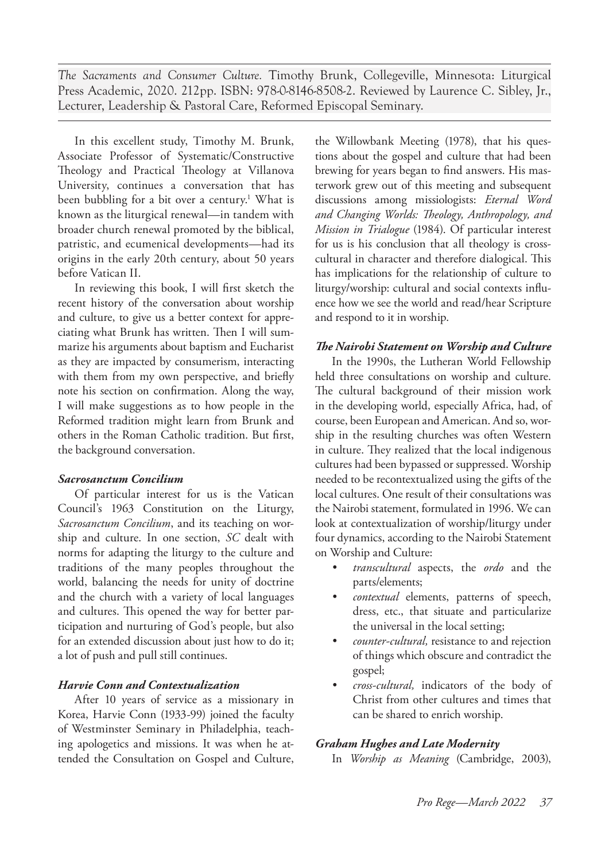*The Sacraments and Consumer Culture.* Timothy Brunk, Collegeville, Minnesota: Liturgical Press Academic, 2020. 212pp. ISBN: 978-0-8146-8508-2. Reviewed by Laurence C. Sibley, Jr., Lecturer, Leadership & Pastoral Care, Reformed Episcopal Seminary.

In this excellent study, Timothy M. Brunk, Associate Professor of Systematic/Constructive Theology and Practical Theology at Villanova University, continues a conversation that has been bubbling for a bit over a century.<sup>1</sup> What is known as the liturgical renewal—in tandem with broader church renewal promoted by the biblical, patristic, and ecumenical developments—had its origins in the early 20th century, about 50 years before Vatican II.

In reviewing this book, I will first sketch the recent history of the conversation about worship and culture, to give us a better context for appreciating what Brunk has written. Then I will summarize his arguments about baptism and Eucharist as they are impacted by consumerism, interacting with them from my own perspective, and briefly note his section on confirmation. Along the way, I will make suggestions as to how people in the Reformed tradition might learn from Brunk and others in the Roman Catholic tradition. But first, the background conversation.

# *Sacrosanctum Concilium*

Of particular interest for us is the Vatican Council's 1963 Constitution on the Liturgy, *Sacrosanctum Concilium*, and its teaching on worship and culture. In one section, *SC* dealt with norms for adapting the liturgy to the culture and traditions of the many peoples throughout the world, balancing the needs for unity of doctrine and the church with a variety of local languages and cultures. This opened the way for better participation and nurturing of God's people, but also for an extended discussion about just how to do it; a lot of push and pull still continues.

# *Harvie Conn and Contextualization*

After 10 years of service as a missionary in Korea, Harvie Conn (1933-99) joined the faculty of Westminster Seminary in Philadelphia, teaching apologetics and missions. It was when he attended the Consultation on Gospel and Culture,

the Willowbank Meeting (1978), that his questions about the gospel and culture that had been brewing for years began to find answers. His masterwork grew out of this meeting and subsequent discussions among missiologists: *Eternal Word and Changing Worlds: Theology, Anthropology, and Mission in Trialogue* (1984). Of particular interest for us is his conclusion that all theology is crosscultural in character and therefore dialogical. This has implications for the relationship of culture to liturgy/worship: cultural and social contexts influence how we see the world and read/hear Scripture and respond to it in worship.

# *The Nairobi Statement on Worship and Culture*

In the 1990s, the Lutheran World Fellowship held three consultations on worship and culture. The cultural background of their mission work in the developing world, especially Africa, had, of course, been European and American. And so, worship in the resulting churches was often Western in culture. They realized that the local indigenous cultures had been bypassed or suppressed. Worship needed to be recontextualized using the gifts of the local cultures. One result of their consultations was the Nairobi statement, formulated in 1996. We can look at contextualization of worship/liturgy under four dynamics, according to the Nairobi Statement on Worship and Culture:

- *• transcultural* aspects, the *ordo* and the parts/elements;
- *• contextual* elements, patterns of speech, dress, etc., that situate and particularize the universal in the local setting;
- *• counter-cultural,* resistance to and rejection of things which obscure and contradict the gospel;
- *• cross-cultural,* indicators of the body of Christ from other cultures and times that can be shared to enrich worship.

# *Graham Hughes and Late Modernity*

In *Worship as Meaning* (Cambridge, 2003),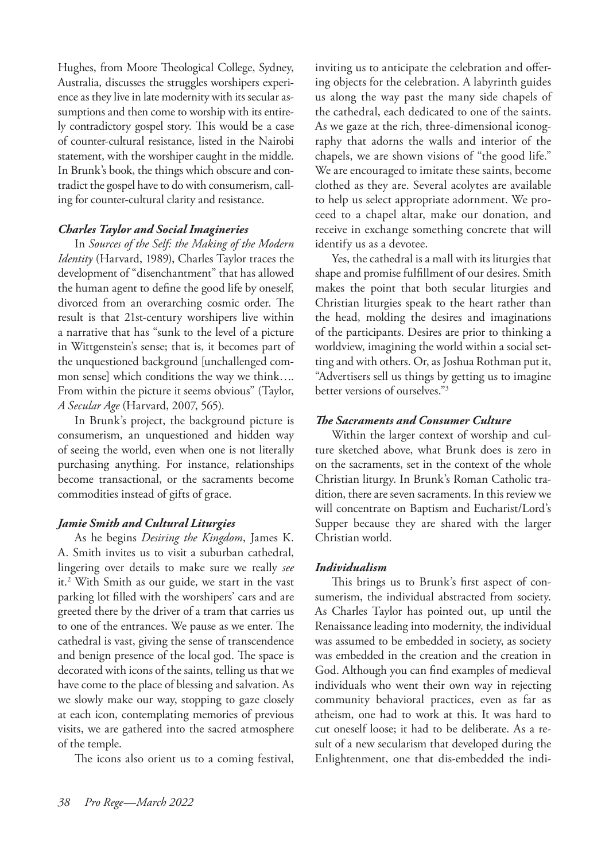Hughes, from Moore Theological College, Sydney, Australia, discusses the struggles worshipers experience as they live in late modernity with its secular assumptions and then come to worship with its entirely contradictory gospel story. This would be a case of counter-cultural resistance, listed in the Nairobi statement, with the worshiper caught in the middle. In Brunk's book, the things which obscure and contradict the gospel have to do with consumerism, calling for counter-cultural clarity and resistance.

#### *Charles Taylor and Social Imagineries*

In *Sources of the Self: the Making of the Modern Identity* (Harvard, 1989), Charles Taylor traces the development of "disenchantment" that has allowed the human agent to define the good life by oneself, divorced from an overarching cosmic order. The result is that 21st-century worshipers live within a narrative that has "sunk to the level of a picture in Wittgenstein's sense; that is, it becomes part of the unquestioned background [unchallenged common sense] which conditions the way we think…. From within the picture it seems obvious" (Taylor, *A Secular Age* (Harvard, 2007, 565).

In Brunk's project, the background picture is consumerism, an unquestioned and hidden way of seeing the world, even when one is not literally purchasing anything. For instance, relationships become transactional, or the sacraments become commodities instead of gifts of grace.

#### *Jamie Smith and Cultural Liturgies*

As he begins *Desiring the Kingdom*, James K. A. Smith invites us to visit a suburban cathedral, lingering over details to make sure we really *see* it.2 With Smith as our guide, we start in the vast parking lot filled with the worshipers' cars and are greeted there by the driver of a tram that carries us to one of the entrances. We pause as we enter. The cathedral is vast, giving the sense of transcendence and benign presence of the local god. The space is decorated with icons of the saints, telling us that we have come to the place of blessing and salvation. As we slowly make our way, stopping to gaze closely at each icon, contemplating memories of previous visits, we are gathered into the sacred atmosphere of the temple.

The icons also orient us to a coming festival,

inviting us to anticipate the celebration and offering objects for the celebration. A labyrinth guides us along the way past the many side chapels of the cathedral, each dedicated to one of the saints. As we gaze at the rich, three-dimensional iconography that adorns the walls and interior of the chapels, we are shown visions of "the good life." We are encouraged to imitate these saints, become clothed as they are. Several acolytes are available to help us select appropriate adornment. We proceed to a chapel altar, make our donation, and receive in exchange something concrete that will identify us as a devotee.

Yes, the cathedral is a mall with its liturgies that shape and promise fulfillment of our desires. Smith makes the point that both secular liturgies and Christian liturgies speak to the heart rather than the head, molding the desires and imaginations of the participants. Desires are prior to thinking a worldview, imagining the world within a social setting and with others. Or, as Joshua Rothman put it, "Advertisers sell us things by getting us to imagine better versions of ourselves."3

### *The Sacraments and Consumer Culture*

Within the larger context of worship and culture sketched above, what Brunk does is zero in on the sacraments, set in the context of the whole Christian liturgy. In Brunk's Roman Catholic tradition, there are seven sacraments. In this review we will concentrate on Baptism and Eucharist/Lord's Supper because they are shared with the larger Christian world.

#### *Individualism*

This brings us to Brunk's first aspect of consumerism, the individual abstracted from society. As Charles Taylor has pointed out, up until the Renaissance leading into modernity, the individual was assumed to be embedded in society, as society was embedded in the creation and the creation in God. Although you can find examples of medieval individuals who went their own way in rejecting community behavioral practices, even as far as atheism, one had to work at this. It was hard to cut oneself loose; it had to be deliberate. As a result of a new secularism that developed during the Enlightenment, one that dis-embedded the indi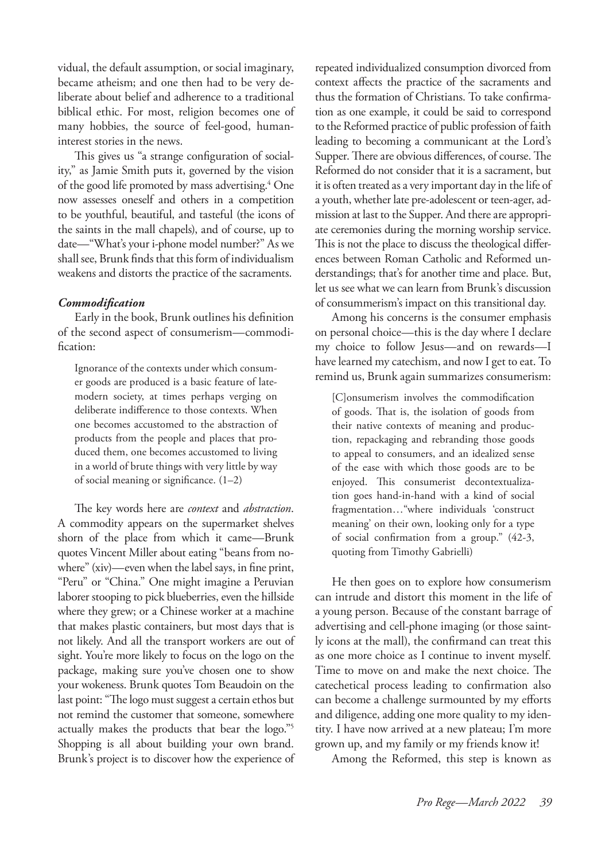vidual, the default assumption, or social imaginary, became atheism; and one then had to be very deliberate about belief and adherence to a traditional biblical ethic. For most, religion becomes one of many hobbies, the source of feel-good, humaninterest stories in the news.

This gives us "a strange configuration of sociality," as Jamie Smith puts it, governed by the vision of the good life promoted by mass advertising.4 One now assesses oneself and others in a competition to be youthful, beautiful, and tasteful (the icons of the saints in the mall chapels), and of course, up to date—"What's your i-phone model number?" As we shall see, Brunk finds that this form of individualism weakens and distorts the practice of the sacraments.

#### *Commodification*

Early in the book, Brunk outlines his definition of the second aspect of consumerism—commodification:

Ignorance of the contexts under which consumer goods are produced is a basic feature of latemodern society, at times perhaps verging on deliberate indifference to those contexts. When one becomes accustomed to the abstraction of products from the people and places that produced them, one becomes accustomed to living in a world of brute things with very little by way of social meaning or significance. (1–2)

The key words here are *context* and *abstraction*. A commodity appears on the supermarket shelves shorn of the place from which it came—Brunk quotes Vincent Miller about eating "beans from nowhere" (xiv)—even when the label says, in fine print, "Peru" or "China." One might imagine a Peruvian laborer stooping to pick blueberries, even the hillside where they grew; or a Chinese worker at a machine that makes plastic containers, but most days that is not likely. And all the transport workers are out of sight. You're more likely to focus on the logo on the package, making sure you've chosen one to show your wokeness. Brunk quotes Tom Beaudoin on the last point: "The logo must suggest a certain ethos but not remind the customer that someone, somewhere actually makes the products that bear the logo."5 Shopping is all about building your own brand. Brunk's project is to discover how the experience of repeated individualized consumption divorced from context affects the practice of the sacraments and thus the formation of Christians. To take confirmation as one example, it could be said to correspond to the Reformed practice of public profession of faith leading to becoming a communicant at the Lord's Supper. There are obvious differences, of course. The Reformed do not consider that it is a sacrament, but it is often treated as a very important day in the life of a youth, whether late pre-adolescent or teen-ager, admission at last to the Supper. And there are appropriate ceremonies during the morning worship service. This is not the place to discuss the theological differences between Roman Catholic and Reformed understandings; that's for another time and place. But, let us see what we can learn from Brunk's discussion of consummerism's impact on this transitional day.

Among his concerns is the consumer emphasis on personal choice—this is the day where I declare my choice to follow Jesus—and on rewards—I have learned my catechism, and now I get to eat. To remind us, Brunk again summarizes consumerism:

[C]onsumerism involves the commodification of goods. That is, the isolation of goods from their native contexts of meaning and production, repackaging and rebranding those goods to appeal to consumers, and an idealized sense of the ease with which those goods are to be enjoyed. This consumerist decontextualization goes hand-in-hand with a kind of social fragmentation…"where individuals 'construct meaning' on their own, looking only for a type of social confirmation from a group." (42-3, quoting from Timothy Gabrielli)

He then goes on to explore how consumerism can intrude and distort this moment in the life of a young person. Because of the constant barrage of advertising and cell-phone imaging (or those saintly icons at the mall), the confirmand can treat this as one more choice as I continue to invent myself. Time to move on and make the next choice. The catechetical process leading to confirmation also can become a challenge surmounted by my efforts and diligence, adding one more quality to my identity. I have now arrived at a new plateau; I'm more grown up, and my family or my friends know it!

Among the Reformed, this step is known as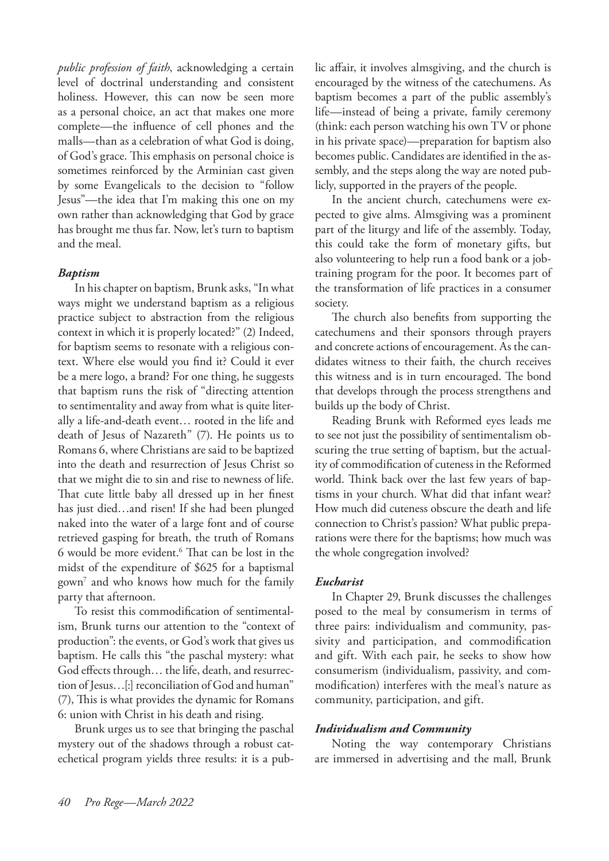*public profession of faith*, acknowledging a certain level of doctrinal understanding and consistent holiness. However, this can now be seen more as a personal choice, an act that makes one more complete—the influence of cell phones and the malls—than as a celebration of what God is doing, of God's grace. This emphasis on personal choice is sometimes reinforced by the Arminian cast given by some Evangelicals to the decision to "follow Jesus"—the idea that I'm making this one on my own rather than acknowledging that God by grace has brought me thus far. Now, let's turn to baptism and the meal.

#### *Baptism*

In his chapter on baptism, Brunk asks, "In what ways might we understand baptism as a religious practice subject to abstraction from the religious context in which it is properly located?" (2) Indeed, for baptism seems to resonate with a religious context. Where else would you find it? Could it ever be a mere logo, a brand? For one thing, he suggests that baptism runs the risk of "directing attention to sentimentality and away from what is quite literally a life-and-death event… rooted in the life and death of Jesus of Nazareth" (7). He points us to Romans 6, where Christians are said to be baptized into the death and resurrection of Jesus Christ so that we might die to sin and rise to newness of life. That cute little baby all dressed up in her finest has just died…and risen! If she had been plunged naked into the water of a large font and of course retrieved gasping for breath, the truth of Romans 6 would be more evident.6 That can be lost in the midst of the expenditure of \$625 for a baptismal gown7 and who knows how much for the family party that afternoon.

To resist this commodification of sentimentalism, Brunk turns our attention to the "context of production": the events, or God's work that gives us baptism. He calls this "the paschal mystery: what God effects through… the life, death, and resurrection of Jesus…[:] reconciliation of God and human" (7), This is what provides the dynamic for Romans 6: union with Christ in his death and rising.

Brunk urges us to see that bringing the paschal mystery out of the shadows through a robust catechetical program yields three results: it is a public affair, it involves almsgiving, and the church is encouraged by the witness of the catechumens. As baptism becomes a part of the public assembly's life—instead of being a private, family ceremony (think: each person watching his own TV or phone in his private space)—preparation for baptism also becomes public. Candidates are identified in the assembly, and the steps along the way are noted publicly, supported in the prayers of the people.

In the ancient church, catechumens were expected to give alms. Almsgiving was a prominent part of the liturgy and life of the assembly. Today, this could take the form of monetary gifts, but also volunteering to help run a food bank or a jobtraining program for the poor. It becomes part of the transformation of life practices in a consumer society.

The church also benefits from supporting the catechumens and their sponsors through prayers and concrete actions of encouragement. As the candidates witness to their faith, the church receives this witness and is in turn encouraged. The bond that develops through the process strengthens and builds up the body of Christ.

Reading Brunk with Reformed eyes leads me to see not just the possibility of sentimentalism obscuring the true setting of baptism, but the actuality of commodification of cuteness in the Reformed world. Think back over the last few years of baptisms in your church. What did that infant wear? How much did cuteness obscure the death and life connection to Christ's passion? What public preparations were there for the baptisms; how much was the whole congregation involved?

# *Eucharist*

In Chapter 29, Brunk discusses the challenges posed to the meal by consumerism in terms of three pairs: individualism and community, passivity and participation, and commodification and gift. With each pair, he seeks to show how consumerism (individualism, passivity, and commodification) interferes with the meal's nature as community, participation, and gift.

#### *Individualism and Community*

Noting the way contemporary Christians are immersed in advertising and the mall, Brunk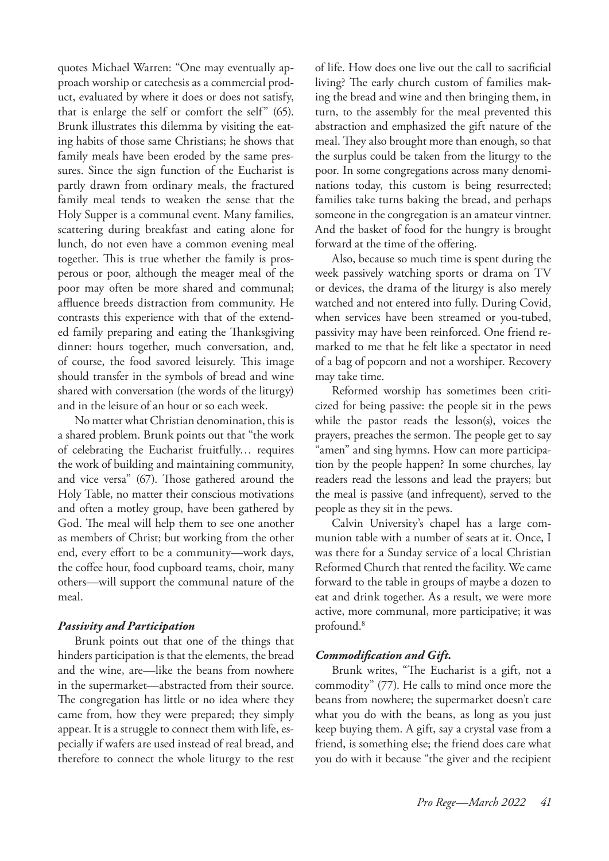quotes Michael Warren: "One may eventually approach worship or catechesis as a commercial product, evaluated by where it does or does not satisfy, that is enlarge the self or comfort the self" (65). Brunk illustrates this dilemma by visiting the eating habits of those same Christians; he shows that family meals have been eroded by the same pressures. Since the sign function of the Eucharist is partly drawn from ordinary meals, the fractured family meal tends to weaken the sense that the Holy Supper is a communal event. Many families, scattering during breakfast and eating alone for lunch, do not even have a common evening meal together. This is true whether the family is prosperous or poor, although the meager meal of the poor may often be more shared and communal; affluence breeds distraction from community. He contrasts this experience with that of the extended family preparing and eating the Thanksgiving dinner: hours together, much conversation, and, of course, the food savored leisurely. This image should transfer in the symbols of bread and wine shared with conversation (the words of the liturgy) and in the leisure of an hour or so each week.

No matter what Christian denomination, this is a shared problem. Brunk points out that "the work of celebrating the Eucharist fruitfully… requires the work of building and maintaining community, and vice versa" (67). Those gathered around the Holy Table, no matter their conscious motivations and often a motley group, have been gathered by God. The meal will help them to see one another as members of Christ; but working from the other end, every effort to be a community—work days, the coffee hour, food cupboard teams, choir, many others—will support the communal nature of the meal.

#### *Passivity and Participation*

Brunk points out that one of the things that hinders participation is that the elements, the bread and the wine, are—like the beans from nowhere in the supermarket—abstracted from their source. The congregation has little or no idea where they came from, how they were prepared; they simply appear. It is a struggle to connect them with life, especially if wafers are used instead of real bread, and therefore to connect the whole liturgy to the rest of life. How does one live out the call to sacrificial living? The early church custom of families making the bread and wine and then bringing them, in turn, to the assembly for the meal prevented this abstraction and emphasized the gift nature of the meal. They also brought more than enough, so that the surplus could be taken from the liturgy to the poor. In some congregations across many denominations today, this custom is being resurrected; families take turns baking the bread, and perhaps someone in the congregation is an amateur vintner. And the basket of food for the hungry is brought forward at the time of the offering.

Also, because so much time is spent during the week passively watching sports or drama on TV or devices, the drama of the liturgy is also merely watched and not entered into fully. During Covid, when services have been streamed or you-tubed, passivity may have been reinforced. One friend remarked to me that he felt like a spectator in need of a bag of popcorn and not a worshiper. Recovery may take time.

Reformed worship has sometimes been criticized for being passive: the people sit in the pews while the pastor reads the lesson(s), voices the prayers, preaches the sermon. The people get to say "amen" and sing hymns. How can more participation by the people happen? In some churches, lay readers read the lessons and lead the prayers; but the meal is passive (and infrequent), served to the people as they sit in the pews.

Calvin University's chapel has a large communion table with a number of seats at it. Once, I was there for a Sunday service of a local Christian Reformed Church that rented the facility. We came forward to the table in groups of maybe a dozen to eat and drink together. As a result, we were more active, more communal, more participative; it was profound.<sup>8</sup>

#### *Commodification and Gift.*

Brunk writes, "The Eucharist is a gift, not a commodity" (77). He calls to mind once more the beans from nowhere; the supermarket doesn't care what you do with the beans, as long as you just keep buying them. A gift, say a crystal vase from a friend, is something else; the friend does care what you do with it because "the giver and the recipient